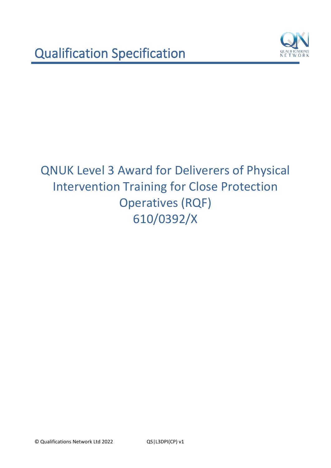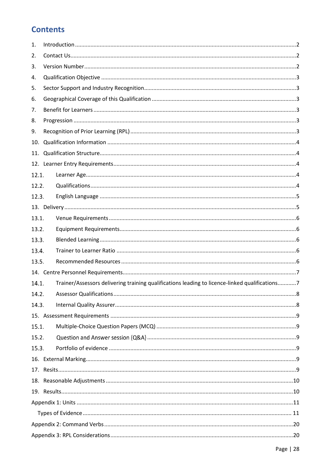# **Contents**

| 1.    |                                                                                                |  |  |  |
|-------|------------------------------------------------------------------------------------------------|--|--|--|
| 2.    |                                                                                                |  |  |  |
| 3.    |                                                                                                |  |  |  |
| 4.    |                                                                                                |  |  |  |
| 5.    |                                                                                                |  |  |  |
| 6.    |                                                                                                |  |  |  |
| 7.    |                                                                                                |  |  |  |
| 8.    |                                                                                                |  |  |  |
| 9.    |                                                                                                |  |  |  |
| 10.   |                                                                                                |  |  |  |
| 11.   |                                                                                                |  |  |  |
|       |                                                                                                |  |  |  |
| 12.1. |                                                                                                |  |  |  |
| 12.2. |                                                                                                |  |  |  |
| 12.3. |                                                                                                |  |  |  |
|       |                                                                                                |  |  |  |
| 13.1. |                                                                                                |  |  |  |
| 13.2. |                                                                                                |  |  |  |
| 13.3. |                                                                                                |  |  |  |
| 13.4. |                                                                                                |  |  |  |
| 13.5. |                                                                                                |  |  |  |
|       |                                                                                                |  |  |  |
| 14.1. | Trainer/Assessors delivering training qualifications leading to licence-linked qualifications7 |  |  |  |
| 14.2. |                                                                                                |  |  |  |
| 14.3. |                                                                                                |  |  |  |
|       |                                                                                                |  |  |  |
| 15.1. |                                                                                                |  |  |  |
| 15.2. |                                                                                                |  |  |  |
| 15.3. |                                                                                                |  |  |  |
|       |                                                                                                |  |  |  |
|       |                                                                                                |  |  |  |
|       |                                                                                                |  |  |  |
|       |                                                                                                |  |  |  |
|       |                                                                                                |  |  |  |
|       |                                                                                                |  |  |  |
|       |                                                                                                |  |  |  |
|       |                                                                                                |  |  |  |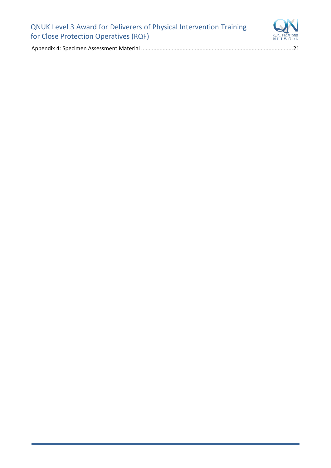

Appendix 4: Specimen Assessment Material [...................................................................................................21](#page-22-0)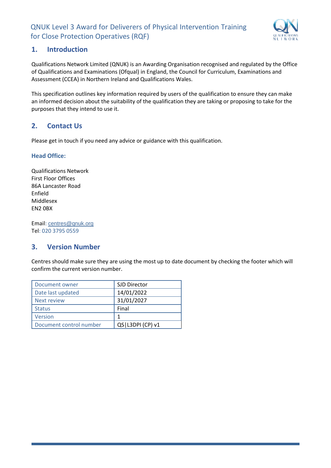

# <span id="page-3-0"></span>**1. Introduction**

Qualifications Network Limited (QNUK) is an Awarding Organisation recognised and regulated by the Office of Qualifications and Examinations (Ofqual) in England, the Council for Curriculum, Examinations and Assessment (CCEA) in Northern Ireland and Qualifications Wales.

This specification outlines key information required by users of the qualification to ensure they can make an informed decision about the suitability of the qualification they are taking or proposing to take for the purposes that they intend to use it.

# <span id="page-3-1"></span>**2. Contact Us**

Please get in touch if you need any advice or guidance with this qualification.

#### **Head Office:**

Qualifications Network First Floor Offices 86A Lancaster Road Enfield Middlesex EN2 0BX

Email: [centres@qnuk.org](mailto:CentreSupport@Qualifications-Network.co.uk) Tel: 020 3795 0559

# <span id="page-3-2"></span>**3. Version Number**

Centres should make sure they are using the most up to date document by checking the footer which will confirm the current version number.

| Document owner          | SJD Director       |
|-------------------------|--------------------|
| Date last updated       | 14/01/2022         |
| <b>Next review</b>      | 31/01/2027         |
| <b>Status</b>           | Final              |
| Version                 | 1                  |
| Document control number | QS   L3DPI (CP) v1 |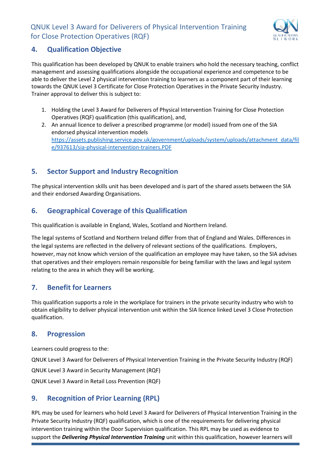

# <span id="page-4-0"></span>**4. Qualification Objective**

This qualification has been developed by QNUK to enable trainers who hold the necessary teaching, conflict management and assessing qualifications alongside the occupational experience and competence to be able to deliver the Level 2 physical intervention training to learners as a component part of their learning towards the QNUK Level 3 Certificate for Close Protection Operatives in the Private Security Industry. Trainer approval to deliver this is subject to:

- 1. Holding the Level 3 Award for Deliverers of Physical Intervention Training for Close Protection Operatives (RQF) qualification (this qualification), and,
- 2. An annual licence to deliver a prescribed programme (or model) issued from one of the SIA endorsed physical intervention models [https://assets.publishing.service.gov.uk/government/uploads/system/uploads/attachment\\_data/fil](https://assets.publishing.service.gov.uk/government/uploads/system/uploads/attachment_data/file/937613/sia-physical-intervention-trainers.PDF) [e/937613/sia-physical-intervention-trainers.PDF](https://assets.publishing.service.gov.uk/government/uploads/system/uploads/attachment_data/file/937613/sia-physical-intervention-trainers.PDF)

# <span id="page-4-1"></span>**5. Sector Support and Industry Recognition**

The physical intervention skills unit has been developed and is part of the shared assets between the SIA and their endorsed Awarding Organisations.

# <span id="page-4-2"></span>**6. Geographical Coverage of this Qualification**

This qualification is available in England, Wales, Scotland and Northern Ireland.

The legal systems of Scotland and Northern Ireland differ from that of England and Wales. Differences in the legal systems are reflected in the delivery of relevant sections of the qualifications. Employers, however, may not know which version of the qualification an employee may have taken, so the SIA advises that operatives and their employers remain responsible for being familiar with the laws and legal system relating to the area in which they will be working.

# <span id="page-4-3"></span>**7. Benefit for Learners**

This qualification supports a role in the workplace for trainers in the private security industry who wish to obtain eligibility to deliver physical intervention unit within the SIA licence linked Level 3 Close Protection qualification.

# <span id="page-4-4"></span>**8. Progression**

Learners could progress to the:

QNUK Level 3 Award for Deliverers of Physical Intervention Training in the Private Security Industry (RQF)

QNUK Level 3 Award in Security Management (RQF)

QNUK Level 3 Award in Retail Loss Prevention (RQF)

# <span id="page-4-5"></span>**9. Recognition of Prior Learning (RPL)**

RPL may be used for learners who hold Level 3 Award for Deliverers of Physical Intervention Training in the Private Security Industry (RQF) qualification, which is one of the requirements for delivering physical intervention training within the Door Supervision qualification. This RPL may be used as evidence to support the *Delivering Physical Intervention Training* unit within this qualification, however learners will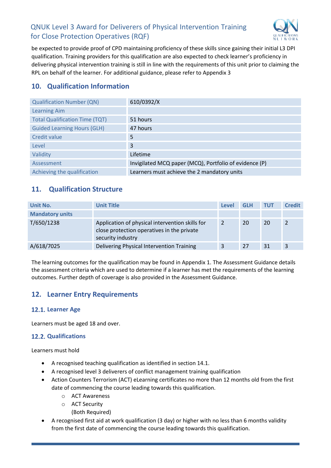

be expected to provide proof of CPD maintaining proficiency of these skills since gaining their initial L3 DPI qualification. Training providers for this qualification are also expected to check learner's proficiency in delivering physical intervention training is still in line with the requirements of this unit prior to claiming the RPL on behalf of the learner. For additional guidance, please refer to Appendix 3

# <span id="page-5-0"></span>**10. Qualification Information**

| <b>Qualification Number (QN)</b>      | 610/0392/X                                             |
|---------------------------------------|--------------------------------------------------------|
| <b>Learning Aim</b>                   |                                                        |
| <b>Total Qualification Time (TQT)</b> | 51 hours                                               |
| <b>Guided Learning Hours (GLH)</b>    | 47 hours                                               |
| Credit value                          | 5                                                      |
| Level                                 | 3                                                      |
| Validity                              | Lifetime                                               |
| Assessment                            | Invigilated MCQ paper (MCQ), Portfolio of evidence (P) |
| Achieving the qualification           | Learners must achieve the 2 mandatory units            |

# <span id="page-5-1"></span>**11. Qualification Structure**

| Unit No.               | <b>Unit Title</b>                                                                                                  | <b>Level</b> | <b>GLH</b> | <b>TUT</b> | <b>Credit</b> |
|------------------------|--------------------------------------------------------------------------------------------------------------------|--------------|------------|------------|---------------|
| <b>Mandatory units</b> |                                                                                                                    |              |            |            |               |
| T/650/1238             | Application of physical intervention skills for<br>close protection operatives in the private<br>security industry | 2            | 20         | 20         | 2             |
| A/618/7025             | Delivering Physical Intervention Training                                                                          | 3            | 27         | 31         | 3             |

The learning outcomes for the qualification may be found in Appendix 1. The Assessment Guidance details the assessment criteria which are used to determine if a learner has met the requirements of the learning outcomes. Further depth of coverage is also provided in the Assessment Guidance.

# <span id="page-5-2"></span>**12. Learner Entry Requirements**

# <span id="page-5-3"></span>12.1. Learner Age

Learners must be aged 18 and over.

#### <span id="page-5-4"></span>**12.2. Qualifications**

Learners must hold

- A recognised teaching qualification as identified in section 14.1.
- A recognised level 3 deliverers of conflict management training qualification
- Action Counters Terrorism (ACT) eLearning certificates no more than 12 months old from the first date of commencing the course leading towards this qualification.
	- o ACT Awareness
	- o ACT Security
		- (Both Required)
- A recognised first aid at work qualification (3 day) or higher with no less than 6 months validity from the first date of commencing the course leading towards this qualification.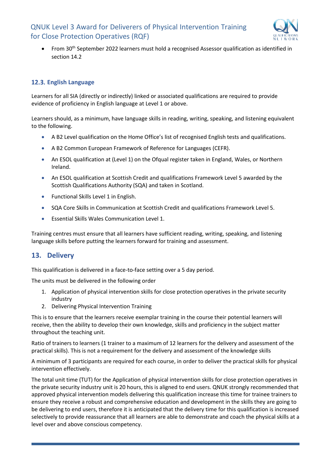

From 30<sup>th</sup> September 2022 learners must hold a recognised Assessor qualification as identified in section 14.2

#### <span id="page-6-0"></span>**English Language**

Learners for all SIA (directly or indirectly) linked or associated qualifications are required to provide evidence of proficiency in English language at Level 1 or above.

Learners should, as a minimum, have language skills in reading, writing, speaking, and listening equivalent to the following.

- A B2 Level qualification on the Home Office's list of recognised English tests and qualifications.
- A B2 Common European Framework of Reference for Languages (CEFR).
- An ESOL qualification at (Level 1) on the Ofqual register taken in England, Wales, or Northern Ireland.
- An ESOL qualification at Scottish Credit and qualifications Framework Level 5 awarded by the Scottish Qualifications Authority (SQA) and taken in Scotland.
- Functional Skills Level 1 in English.
- SQA Core Skills in Communication at Scottish Credit and qualifications Framework Level 5.
- Essential Skills Wales Communication Level 1.

Training centres must ensure that all learners have sufficient reading, writing, speaking, and listening language skills before putting the learners forward for training and assessment.

# <span id="page-6-1"></span>**13. Delivery**

This qualification is delivered in a face-to-face setting over a 5 day period.

The units must be delivered in the following order

- 1. Application of physical intervention skills for close protection operatives in the private security industry
- 2. Delivering Physical Intervention Training

This is to ensure that the learners receive exemplar training in the course their potential learners will receive, then the ability to develop their own knowledge, skills and proficiency in the subject matter throughout the teaching unit.

Ratio of trainers to learners (1 trainer to a maximum of 12 learners for the delivery and assessment of the practical skills). This is not a requirement for the delivery and assessment of the knowledge skills

A minimum of 3 participants are required for each course, in order to deliver the practical skills for physical intervention effectively.

The total unit time (TUT) for the Application of physical intervention skills for close protection operatives in the private security industry unit is 20 hours, this is aligned to end users. QNUK strongly recommended that approved physical intervention models delivering this qualification increase this time for trainee trainers to ensure they receive a robust and comprehensive education and development in the skills they are going to be delivering to end users, therefore it is anticipated that the delivery time for this qualification is increased selectively to provide reassurance that all learners are able to demonstrate and coach the physical skills at a level over and above conscious competency.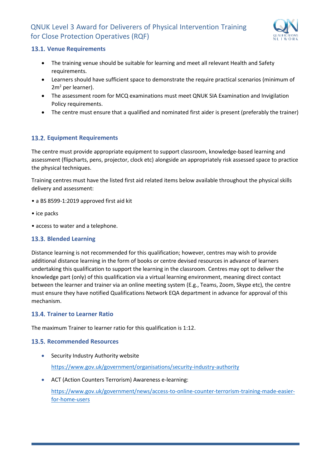

#### <span id="page-7-0"></span>**13.1. Venue Requirements**

- The training venue should be suitable for learning and meet all relevant Health and Safety requirements.
- Learners should have sufficient space to demonstrate the require practical scenarios (minimum of  $2m<sup>2</sup>$  per learner).
- The assessment room for MCQ examinations must meet QNUK SIA Examination and Invigilation Policy requirements.
- The centre must ensure that a qualified and nominated first aider is present (preferably the trainer)

#### <span id="page-7-1"></span>**Equipment Requirements**

The centre must provide appropriate equipment to support classroom, knowledge-based learning and assessment (flipcharts, pens, projector, clock etc) alongside an appropriately risk assessed space to practice the physical techniques.

Training centres must have the listed first aid related items below available throughout the physical skills delivery and assessment:

- a BS 8599-1:2019 approved first aid kit
- ice packs
- access to water and a telephone.

#### <span id="page-7-2"></span>**Blended Learning**

Distance learning is not recommended for this qualification; however, centres may wish to provide additional distance learning in the form of books or centre devised resources in advance of learners undertaking this qualification to support the learning in the classroom. Centres may opt to deliver the knowledge part (only) of this qualification via a virtual learning environment, meaning direct contact between the learner and trainer via an online meeting system (E.g., Teams, Zoom, Skype etc), the centre must ensure they have notified Qualifications Network EQA department in advance for approval of this mechanism.

#### <span id="page-7-3"></span>**Trainer to Learner Ratio**

The maximum Trainer to learner ratio for this qualification is 1:12.

#### <span id="page-7-4"></span>**13.5. Recommended Resources**

- Security Industry Authority website <https://www.gov.uk/government/organisations/security-industry-authority>
- ACT (Action Counters Terrorism) Awareness e-learning:

[https://www.gov.uk/government/news/access-to-online-counter-terrorism-training-made-easier](https://www.gov.uk/government/news/access-to-online-counter-terrorism-training-made-easier-for-home-users)[for-home-users](https://www.gov.uk/government/news/access-to-online-counter-terrorism-training-made-easier-for-home-users)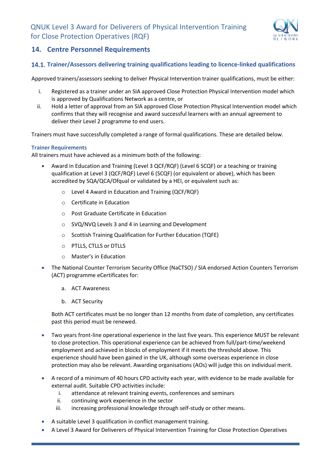

# <span id="page-8-0"></span>**14. Centre Personnel Requirements**

#### <span id="page-8-1"></span>**Trainer/Assessors delivering training qualifications leading to licence-linked qualifications**

Approved trainers/assessors seeking to deliver Physical Intervention trainer qualifications, must be either:

- i. Registered as a trainer under an SIA approved Close Protection Physical Intervention model which is approved by Qualifications Network as a centre, or
- ii. Hold a letter of approval from an SIA approved Close Protection Physical Intervention model which confirms that they will recognise and award successful learners with an annual agreement to deliver their Level 2 programme to end users.

Trainers must have successfully completed a range of formal qualifications. These are detailed below.

#### **Trainer Requirements**

All trainers must have achieved as a minimum both of the following:

- Award in Education and Training (Level 3 QCF/RQF) (Level 6 SCQF) or a teaching or training qualification at Level 3 (QCF/RQF) Level 6 (SCQF) (or equivalent or above), which has been accredited by SQA/QCA/Ofqual or validated by a HEI, or equivalent such as:
	- o Level 4 Award in Education and Training (QCF/RQF)
	- o Certificate in Education
	- o Post Graduate Certificate in Education
	- o SVQ/NVQ Levels 3 and 4 in Learning and Development
	- o Scottish Training Qualification for Further Education (TQFE)
	- o PTLLS, CTLLS or DTLLS
	- o Master's in Education
- The National Counter Terrorism Security Office (NaCTSO) / SIA endorsed Action Counters Terrorism (ACT) programme eCertificates for:
	- a. ACT Awareness
	- b. ACT Security

Both ACT certificates must be no longer than 12 months from date of completion, any certificates past this period must be renewed.

- Two years front-line operational experience in the last five years. This experience MUST be relevant to close protection. This operational experience can be achieved from full/part-time/weekend employment and achieved in blocks of employment if it meets the threshold above. This experience should have been gained in the UK, although some overseas experience in close protection may also be relevant. Awarding organisations (AOs) will judge this on individual merit.
- A record of a minimum of 40 hours CPD activity each year, with evidence to be made available for external audit. Suitable CPD activities include:
	- i. attendance at relevant training events, conferences and seminars
	- ii. continuing work experience in the sector
	- iii. increasing professional knowledge through self-study or other means.
- A suitable Level 3 qualification in conflict management training.
- A Level 3 Award for Deliverers of Physical Intervention Training for Close Protection Operatives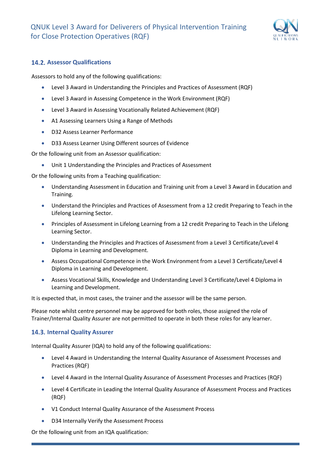

#### <span id="page-9-0"></span>**14.2. Assessor Qualifications**

Assessors to hold any of the following qualifications:

- Level 3 Award in Understanding the Principles and Practices of Assessment (RQF)
- Level 3 Award in Assessing Competence in the Work Environment (RQF)
- Level 3 Award in Assessing Vocationally Related Achievement (RQF)
- A1 Assessing Learners Using a Range of Methods
- D32 Assess Learner Performance
- D33 Assess Learner Using Different sources of Evidence

Or the following unit from an Assessor qualification:

• Unit 1 Understanding the Principles and Practices of Assessment

Or the following units from a Teaching qualification:

- Understanding Assessment in Education and Training unit from a Level 3 Award in Education and Training.
- Understand the Principles and Practices of Assessment from a 12 credit Preparing to Teach in the Lifelong Learning Sector.
- Principles of Assessment in Lifelong Learning from a 12 credit Preparing to Teach in the Lifelong Learning Sector.
- Understanding the Principles and Practices of Assessment from a Level 3 Certificate/Level 4 Diploma in Learning and Development.
- Assess Occupational Competence in the Work Environment from a Level 3 Certificate/Level 4 Diploma in Learning and Development.
- Assess Vocational Skills, Knowledge and Understanding Level 3 Certificate/Level 4 Diploma in Learning and Development.

It is expected that, in most cases, the trainer and the assessor will be the same person.

Please note whilst centre personnel may be approved for both roles, those assigned the role of Trainer/Internal Quality Assurer are not permitted to operate in both these roles for any learner.

#### <span id="page-9-1"></span>**14.3. Internal Quality Assurer**

Internal Quality Assurer (IQA) to hold any of the following qualifications:

- Level 4 Award in Understanding the Internal Quality Assurance of Assessment Processes and Practices (RQF)
- Level 4 Award in the Internal Quality Assurance of Assessment Processes and Practices (RQF)
- Level 4 Certificate in Leading the Internal Quality Assurance of Assessment Process and Practices (RQF)
- V1 Conduct Internal Quality Assurance of the Assessment Process
- D34 Internally Verify the Assessment Process

Or the following unit from an IQA qualification: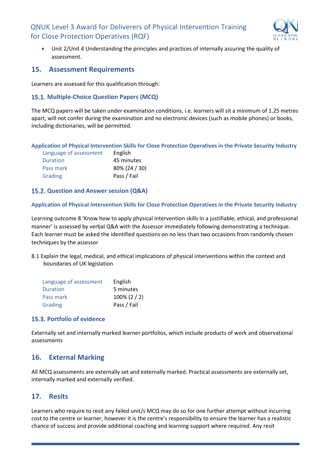

• Unit 2/Unit 4 Understanding the principles and practices of internally assuring the quality of assessment.

#### <span id="page-10-0"></span>**15. Assessment Requirements**

Learners are assessed for this qualification through:

#### <span id="page-10-1"></span>**Multiple-Choice Question Papers (MCQ)**

The MCQ papers will be taken under examination conditions, i.e. learners will sit a minimum of 1.25 metres apart, will not confer during the examination and no electronic devices (such as mobile phones) or books, including dictionaries, will be permitted.

**Application of Physical Intervention Skills for Close Protection Operatives in the Private Security Industry**

<span id="page-10-2"></span>

| Language of assessment | English       |
|------------------------|---------------|
| Duration               | 45 minutes    |
| Pass mark              | 80% (24 / 30) |
| Grading                | Pass / Fail   |

#### **15.2. Question and Answer session (Q&A)**

**Application of Physical Intervention Skills for Close Protection Operatives in the Private Security Industry**

Learning outcome 8 'Know how to apply physical intervention skills in a justifiable, ethical, and professional manner' is assessed by verbal Q&A with the Assessor immediately following demonstrating a technique. Each learner must be asked the identified questions on no less than two occasions from randomly chosen techniques by the assessor

8.1 Explain the legal, medical, and ethical implications of physical interventions within the context and boundaries of UK legislation

| Language of assessment | English         |
|------------------------|-----------------|
| Duration               | 5 minutes       |
| Pass mark              | $100\% (2 / 2)$ |
| Grading                | Pass / Fail     |

#### <span id="page-10-3"></span>**15.3. Portfolio of evidence**

Externally set and internally marked learner portfolios, which include products of work and observational assessments

# <span id="page-10-4"></span>**16. External Marking**

All MCQ assessments are externally set and externally marked. Practical assessments are externally set, internally marked and externally verified.

# <span id="page-10-5"></span>**17. Resits**

Learners who require to resit any failed unit/s MCQ may do so for one further attempt without incurring cost to the centre or learner, however it is the centre's responsibility to ensure the learner has a realistic chance of success and provide additional coaching and learning support where required. Any resit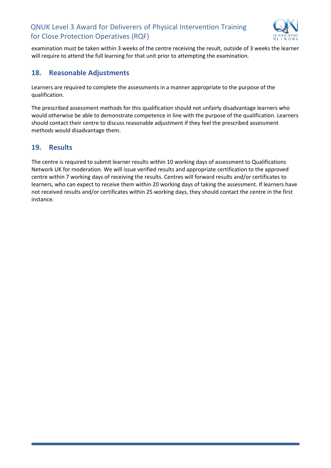

examination must be taken within 3 weeks of the centre receiving the result, outside of 3 weeks the learner will require to attend the full learning for that unit prior to attempting the examination.

# <span id="page-11-0"></span>**18. Reasonable Adjustments**

Learners are required to complete the assessments in a manner appropriate to the purpose of the qualification.

The prescribed assessment methods for this qualification should not unfairly disadvantage learners who would otherwise be able to demonstrate competence in line with the purpose of the qualification. Learners should contact their centre to discuss reasonable adjustment if they feel the prescribed assessment methods would disadvantage them.

# <span id="page-11-1"></span>**19. Results**

The centre is required to submit learner results within 10 working days of assessment to Qualifications Network UK for moderation. We will issue verified results and appropriate certification to the approved centre within 7 working days of receiving the results. Centres will forward results and/or certificates to learners, who can expect to receive them within 20 working days of taking the assessment. If learners have not received results and/or certificates within 25 working days, they should contact the centre in the first instance.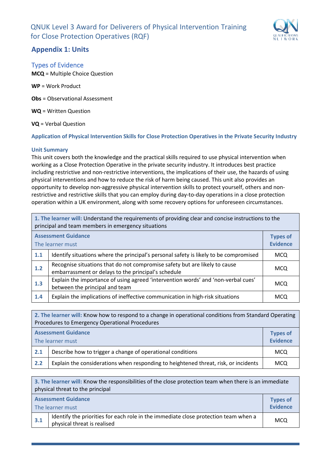

# <span id="page-12-0"></span>**Appendix 1: Units**

### <span id="page-12-1"></span>Types of Evidence

**MCQ** = Multiple Choice Question

**WP** = Work Product

**Obs** = Observational Assessment

**WQ** = Written Question

**VQ** = Verbal Question

**Application of Physical Intervention Skills for Close Protection Operatives in the Private Security Industry**

#### **Unit Summary**

This unit covers both the knowledge and the practical skills required to use physical intervention when working as a Close Protection Operative in the private security industry. It introduces best practice including restrictive and non-restrictive interventions, the implications of their use, the hazards of using physical interventions and how to reduce the risk of harm being caused. This unit also provides an opportunity to develop non-aggressive physical intervention skills to protect yourself, others and nonrestrictive and restrictive skills that you can employ during day-to-day operations in a close protection operation within a UK environment, along with some recovery options for unforeseen circumstances.

| 1. The learner will: Understand the requirements of providing clear and concise instructions to the<br>principal and team members in emergency situations |                                                                                                                                   |                                    |
|-----------------------------------------------------------------------------------------------------------------------------------------------------------|-----------------------------------------------------------------------------------------------------------------------------------|------------------------------------|
|                                                                                                                                                           | <b>Assessment Guidance</b><br>The learner must                                                                                    | <b>Types of</b><br><b>Evidence</b> |
| 1.1                                                                                                                                                       | Identify situations where the principal's personal safety is likely to be compromised                                             | <b>MCQ</b>                         |
| 1.2                                                                                                                                                       | Recognise situations that do not compromise safety but are likely to cause<br>embarrassment or delays to the principal's schedule | <b>MCQ</b>                         |
| 1.3                                                                                                                                                       | Explain the importance of using agreed 'intervention words' and 'non-verbal cues'<br>between the principal and team               | <b>MCQ</b>                         |
| 1.4                                                                                                                                                       | Explain the implications of ineffective communication in high-risk situations                                                     | <b>MCQ</b>                         |

**2. The learner will:** Know how to respond to a change in operational conditions from Standard Operating Procedures to Emergency Operational Procedures **Assessment Guidance** The learner must **Types of Evidence 2.1** Describe how to trigger a change of operational conditions **MCQ** 

**2.2** Explain the considerations when responding to heightened threat, risk, or incidents MCQ

| 3. The learner will: Know the responsibilities of the close protection team when there is an immediate<br>physical threat to the principal |                                                                                                                    |            |  |
|--------------------------------------------------------------------------------------------------------------------------------------------|--------------------------------------------------------------------------------------------------------------------|------------|--|
|                                                                                                                                            | <b>Assessment Guidance</b><br><b>Types of</b><br><b>Evidence</b><br>The learner must                               |            |  |
| 3.1                                                                                                                                        | Identify the priorities for each role in the immediate close protection team when a<br>physical threat is realised | <b>MCQ</b> |  |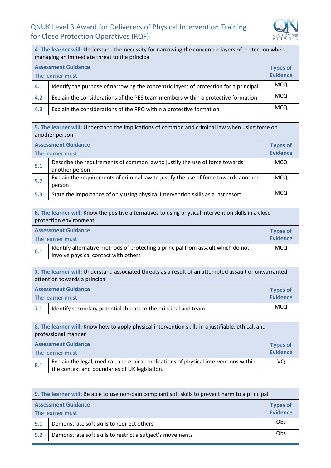

| 4. The learner will: Understand the necessity for narrowing the concentric layers of protection when<br>managing an immediate threat to the principal |                                                                                       |                                    |
|-------------------------------------------------------------------------------------------------------------------------------------------------------|---------------------------------------------------------------------------------------|------------------------------------|
|                                                                                                                                                       | <b>Assessment Guidance</b><br>The learner must                                        | <b>Types of</b><br><b>Evidence</b> |
| 4.1                                                                                                                                                   | Identify the purpose of narrowing the concentric layers of protection for a principal | <b>MCQ</b>                         |
| 4.2                                                                                                                                                   | Explain the considerations of the PES team members within a protective formation      | <b>MCQ</b>                         |
| 4.3                                                                                                                                                   | Explain the considerations of the PPO within a protective formation                   | <b>MCQ</b>                         |

**5. The learner will:** Understand the implications of common and criminal law when using force on another person

| <b>Assessment Guidance</b> |                                                                                               | <b>Types of</b><br><b>Evidence</b> |
|----------------------------|-----------------------------------------------------------------------------------------------|------------------------------------|
| The learner must           |                                                                                               |                                    |
| 5.1                        | Describe the requirements of common law to justify the use of force towards<br>another person | <b>MCQ</b>                         |
| 5.2                        | Explain the requirements of criminal law to justify the use of force towards another          | <b>MCQ</b>                         |
|                            | person                                                                                        |                                    |
| 5.3                        | State the importance of only using physical intervention skills as a last resort              | <b>MCQ</b>                         |

| 6. The learner will: Know the positive alternatives to using physical intervention skills in a close<br>protection environment |                                                                                                                          |            |  |
|--------------------------------------------------------------------------------------------------------------------------------|--------------------------------------------------------------------------------------------------------------------------|------------|--|
|                                                                                                                                | <b>Assessment Guidance</b><br><b>Types of</b><br><b>Evidence</b><br>The learner must                                     |            |  |
| 6.1                                                                                                                            | Identify alternative methods of protecting a principal from assault which do not<br>involve physical contact with others | <b>MCQ</b> |  |

| 7. The learner will: Understand associated threats as a result of an attempted assault or unwarranted<br>attention towards a principal |                                                                |                 |
|----------------------------------------------------------------------------------------------------------------------------------------|----------------------------------------------------------------|-----------------|
| <b>Assessment Guidance</b>                                                                                                             |                                                                | <b>Types of</b> |
| The learner must                                                                                                                       |                                                                | <b>Evidence</b> |
| 7.1                                                                                                                                    | Identify secondary potential threats to the principal and team | <b>MCQ</b>      |

**8. The learner will:** Know how to apply physical intervention skills in a justifiable, ethical, and professional manner **Assessment Guidance** The learner must **Types of Evidence 8.1** Explain the legal, medical, and ethical implications of physical interventions within the context and boundaries of UK legislation. VQ

| 9. The learner will: Be able to use non-pain compliant soft skills to prevent harm to a principal |                                            |     |  |
|---------------------------------------------------------------------------------------------------|--------------------------------------------|-----|--|
| <b>Assessment Guidance</b><br>The learner must                                                    |                                            |     |  |
| 9.1                                                                                               | Demonstrate soft skills to redirect others | Obs |  |
| Demonstrate soft skills to restrict a subject's movements<br>9.2                                  |                                            |     |  |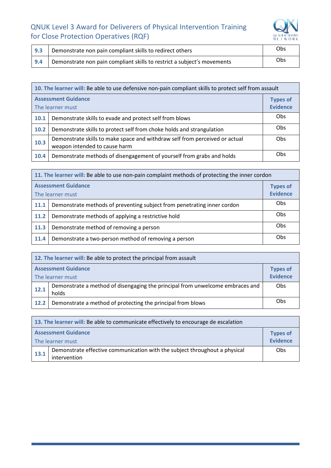

| 9.3 | Demonstrate non pain compliant skills to redirect others                | Obs |
|-----|-------------------------------------------------------------------------|-----|
| 9.4 | Demonstrate non pain compliant skills to restrict a subject's movements | Obs |

| 10. The learner will: Be able to use defensive non-pain compliant skills to protect self from assault |                                                                                                              |            |  |
|-------------------------------------------------------------------------------------------------------|--------------------------------------------------------------------------------------------------------------|------------|--|
| <b>Assessment Guidance</b><br>The learner must                                                        |                                                                                                              |            |  |
| 10.1                                                                                                  | Demonstrate skills to evade and protect self from blows                                                      | Obs        |  |
| 10.2                                                                                                  | Demonstrate skills to protect self from choke holds and strangulation                                        | Obs        |  |
| 10.3                                                                                                  | Demonstrate skills to make space and withdraw self from perceived or actual<br>weapon intended to cause harm | Obs        |  |
| 10.4                                                                                                  | Demonstrate methods of disengagement of yourself from grabs and holds                                        | <b>Obs</b> |  |

|                                                              | 11. The learner will: Be able to use non-pain complaint methods of protecting the inner cordon |     |  |  |
|--------------------------------------------------------------|------------------------------------------------------------------------------------------------|-----|--|--|
| <b>Assessment Guidance</b><br>The learner must               |                                                                                                |     |  |  |
| 11.1                                                         | Demonstrate methods of preventing subject from penetrating inner cordon                        | Obs |  |  |
| 11.2                                                         | Demonstrate methods of applying a restrictive hold                                             | Obs |  |  |
| 11.3                                                         | Demonstrate method of removing a person                                                        | Obs |  |  |
| Demonstrate a two-person method of removing a person<br>11.4 |                                                                                                |     |  |  |

| 12. The learner will: Be able to protect the principal from assault |                                                                                        |            |  |
|---------------------------------------------------------------------|----------------------------------------------------------------------------------------|------------|--|
| <b>Assessment Guidance</b><br>The learner must                      |                                                                                        |            |  |
| 12.1                                                                | Demonstrate a method of disengaging the principal from unwelcome embraces and<br>holds | Obs        |  |
| 12.2                                                                | Demonstrate a method of protecting the principal from blows                            | <b>Obs</b> |  |

| 13. The learner will: Be able to communicate effectively to encourage de escalation |                                                                                            |                                    |  |
|-------------------------------------------------------------------------------------|--------------------------------------------------------------------------------------------|------------------------------------|--|
| <b>Assessment Guidance</b><br>The learner must                                      |                                                                                            | <b>Types of</b><br><b>Evidence</b> |  |
| 13.1                                                                                | Demonstrate effective communication with the subject throughout a physical<br>intervention | Obs                                |  |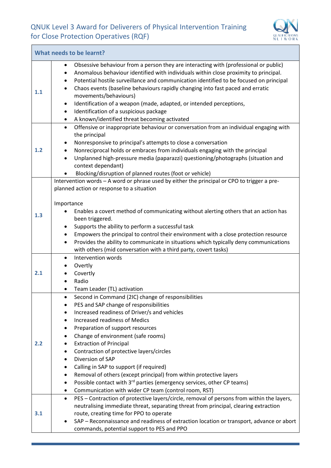$\overline{a}$ 



|     | What needs to be learnt?                                                                                                                                                                                                                                                                                                                                                                                                                                                                                                                                                                                                      |
|-----|-------------------------------------------------------------------------------------------------------------------------------------------------------------------------------------------------------------------------------------------------------------------------------------------------------------------------------------------------------------------------------------------------------------------------------------------------------------------------------------------------------------------------------------------------------------------------------------------------------------------------------|
| 1.1 | Obsessive behaviour from a person they are interacting with (professional or public)<br>Anomalous behaviour identified with individuals within close proximity to principal.<br>$\bullet$<br>Potential hostile surveillance and communication identified to be focused on principal<br>٠<br>Chaos events (baseline behaviours rapidly changing into fast paced and erratic<br>٠<br>movements/behaviours)<br>Identification of a weapon (made, adapted, or intended perceptions,<br>٠<br>Identification of a suspicious package<br>$\bullet$<br>A known/identified threat becoming activated<br>$\bullet$                      |
| 1.2 | Offensive or inappropriate behaviour or conversation from an individual engaging with<br>$\bullet$<br>the principal<br>Nonresponsive to principal's attempts to close a conversation<br>٠<br>Nonreciprocal holds or embraces from individuals engaging with the principal<br>Unplanned high-pressure media (paparazzi) questioning/photographs (situation and<br>$\bullet$<br>context dependant)<br>Blocking/disruption of planned routes (foot or vehicle)                                                                                                                                                                   |
| 1.3 | Intervention words - A word or phrase used by either the principal or CPO to trigger a pre-<br>planned action or response to a situation<br>Importance<br>Enables a covert method of communicating without alerting others that an action has<br>been triggered.<br>Supports the ability to perform a successful task<br>$\bullet$<br>Empowers the principal to control their environment with a close protection resource<br>٠<br>Provides the ability to communicate in situations which typically deny communications<br>$\bullet$<br>with others (mid conversation with a third party, covert tasks)                      |
| 2.1 | Intervention words<br>$\bullet$<br>Overtly<br>Covertly<br>Radio<br>Team Leader (TL) activation                                                                                                                                                                                                                                                                                                                                                                                                                                                                                                                                |
| 2.2 | Second in Command (2IC) change of responsibilities<br>PES and SAP change of responsibilities<br>Increased readiness of Driver/s and vehicles<br>Increased readiness of Medics<br>Preparation of support resources<br>Change of environment (safe rooms)<br><b>Extraction of Principal</b><br>Contraction of protective layers/circles<br>٠<br>Diversion of SAP<br>Calling in SAP to support (if required)<br>Removal of others (except principal) from within protective layers<br>Possible contact with 3 <sup>rd</sup> parties (emergency services, other CP teams)<br>Communication with wider CP team (control room, RST) |
| 3.1 | PES - Contraction of protective layers/circle, removal of persons from within the layers,<br>$\bullet$<br>neutralising immediate threat, separating threat from principal, clearing extraction<br>route, creating time for PPO to operate<br>SAP - Reconnaissance and readiness of extraction location or transport, advance or abort<br>commands, potential support to PES and PPO                                                                                                                                                                                                                                           |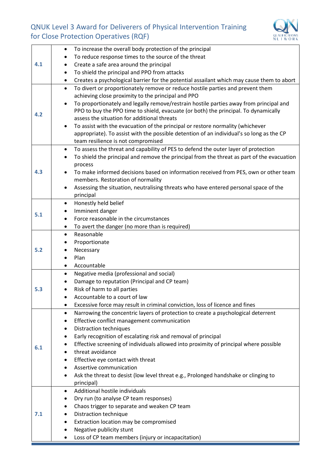

|     | To increase the overall body protection of the principal<br>٠                                           |
|-----|---------------------------------------------------------------------------------------------------------|
|     | To reduce response times to the source of the threat<br>$\bullet$                                       |
| 4.1 | Create a safe area around the principal<br>٠                                                            |
|     | To shield the principal and PPO from attacks<br>$\bullet$                                               |
|     | Creates a psychological barrier for the potential assailant which may cause them to abort<br>$\bullet$  |
|     | To divert or proportionately remove or reduce hostile parties and prevent them<br>$\bullet$             |
|     | achieving close proximity to the principal and PPO                                                      |
|     | To proportionately and legally remove/restrain hostile parties away from principal and<br>$\bullet$     |
|     | PPO to buy the PPO time to shield, evacuate (or both) the principal. To dynamically                     |
| 4.2 | assess the situation for additional threats                                                             |
|     | To assist with the evacuation of the principal or restore normality (whichever<br>$\bullet$             |
|     | appropriate). To assist with the possible detention of an individual's so long as the CP                |
|     | team resilience is not compromised                                                                      |
|     | To assess the threat and capability of PES to defend the outer layer of protection<br>$\bullet$         |
|     | To shield the principal and remove the principal from the threat as part of the evacuation<br>$\bullet$ |
|     | process                                                                                                 |
| 4.3 | To make informed decisions based on information received from PES, own or other team                    |
|     | members. Restoration of normality                                                                       |
|     | Assessing the situation, neutralising threats who have entered personal space of the                    |
|     | principal                                                                                               |
|     | Honestly held belief<br>$\bullet$                                                                       |
| 5.1 | Imminent danger                                                                                         |
|     | Force reasonable in the circumstances                                                                   |
|     | To avert the danger (no more than is required)<br>$\bullet$                                             |
|     | Reasonable<br>$\bullet$                                                                                 |
|     | Proportionate                                                                                           |
| 5.2 | Necessary                                                                                               |
|     | Plan                                                                                                    |
|     | Accountable<br>$\bullet$                                                                                |
|     | Negative media (professional and social)<br>$\bullet$                                                   |
|     | Damage to reputation (Principal and CP team)                                                            |
| 5.3 | Risk of harm to all parties                                                                             |
|     | Accountable to a court of law                                                                           |
|     | Excessive force may result in criminal conviction, loss of licence and fines                            |
|     | Narrowing the concentric layers of protection to create a psychological deterrent<br>$\bullet$          |
|     | Effective conflict management communication<br>٠                                                        |
|     | <b>Distraction techniques</b><br>٠                                                                      |
|     | Early recognition of escalating risk and removal of principal                                           |
| 6.1 | Effective screening of individuals allowed into proximity of principal where possible                   |
|     | threat avoidance                                                                                        |
|     | Effective eye contact with threat                                                                       |
|     | Assertive communication                                                                                 |
|     | Ask the threat to desist (low level threat e.g., Prolonged handshake or clinging to                     |
|     | principal)                                                                                              |
|     | Additional hostile individuals<br>٠                                                                     |
|     | Dry run (to analyse CP team responses)                                                                  |
|     | Chaos trigger to separate and weaken CP team                                                            |
| 7.1 | Distraction technique<br>٠                                                                              |
|     | Extraction location may be compromised                                                                  |
|     | Negative publicity stunt                                                                                |
|     | Loss of CP team members (injury or incapacitation)                                                      |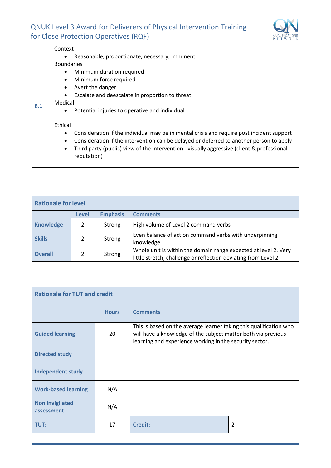

|     | Context                                                                                                                |  |  |  |  |  |
|-----|------------------------------------------------------------------------------------------------------------------------|--|--|--|--|--|
|     | Reasonable, proportionate, necessary, imminent<br>$\bullet$                                                            |  |  |  |  |  |
|     | <b>Boundaries</b>                                                                                                      |  |  |  |  |  |
|     | Minimum duration required<br>$\bullet$                                                                                 |  |  |  |  |  |
|     | Minimum force required<br>$\bullet$                                                                                    |  |  |  |  |  |
|     | Avert the danger<br>$\bullet$                                                                                          |  |  |  |  |  |
|     | Escalate and deescalate in proportion to threat<br>$\bullet$                                                           |  |  |  |  |  |
|     | Medical                                                                                                                |  |  |  |  |  |
| 8.1 | Potential injuries to operative and individual<br>$\bullet$                                                            |  |  |  |  |  |
|     | Ethical                                                                                                                |  |  |  |  |  |
|     | Consideration if the individual may be in mental crisis and require post incident support<br>$\bullet$                 |  |  |  |  |  |
|     | Consideration if the intervention can be delayed or deferred to another person to apply<br>$\bullet$                   |  |  |  |  |  |
|     | Third party (public) view of the intervention - visually aggressive (client & professional<br>$\bullet$<br>reputation) |  |  |  |  |  |
|     |                                                                                                                        |  |  |  |  |  |

| <b>Rationale for level</b> |               |                 |                                                                                                                                   |  |  |
|----------------------------|---------------|-----------------|-----------------------------------------------------------------------------------------------------------------------------------|--|--|
|                            | <b>Level</b>  | <b>Emphasis</b> | <b>Comments</b>                                                                                                                   |  |  |
| <b>Knowledge</b>           | $\mathcal{P}$ | Strong          | High volume of Level 2 command verbs                                                                                              |  |  |
| <b>Skills</b>              | 2             | Strong          | Even balance of action command verbs with underpinning<br>knowledge                                                               |  |  |
| <b>Overall</b>             | $\mathcal{P}$ | Strong          | Whole unit is within the domain range expected at level 2. Very<br>little stretch, challenge or reflection deviating from Level 2 |  |  |

| <b>Rationale for TUT and credit</b>  |              |                                                                                                                                                                                                |   |  |  |
|--------------------------------------|--------------|------------------------------------------------------------------------------------------------------------------------------------------------------------------------------------------------|---|--|--|
|                                      | <b>Hours</b> | <b>Comments</b>                                                                                                                                                                                |   |  |  |
| <b>Guided learning</b>               | 20           | This is based on the average learner taking this qualification who<br>will have a knowledge of the subject matter both via previous<br>learning and experience working in the security sector. |   |  |  |
| <b>Directed study</b>                |              |                                                                                                                                                                                                |   |  |  |
| <b>Independent study</b>             |              |                                                                                                                                                                                                |   |  |  |
| <b>Work-based learning</b>           | N/A          |                                                                                                                                                                                                |   |  |  |
| <b>Non invigilated</b><br>assessment | N/A          |                                                                                                                                                                                                |   |  |  |
| TUT:                                 | 17           | <b>Credit:</b>                                                                                                                                                                                 | 2 |  |  |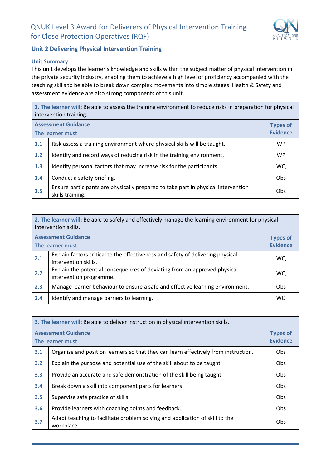

#### **Unit 2 Delivering Physical Intervention Training**

#### **Unit Summary**

This unit develops the learner's knowledge and skills within the subject matter of physical intervention in the private security industry, enabling them to achieve a high level of proficiency accompanied with the teaching skills to be able to break down complex movements into simple stages. Health & Safety and assessment evidence are also strong components of this unit.

**1. The learner will:** Be able to assess the training environment to reduce risks in preparation for physical intervention training.

| <b>Assessment Guidance</b><br>The learner must |                                                                                                       |            |
|------------------------------------------------|-------------------------------------------------------------------------------------------------------|------------|
| 1.1                                            | Risk assess a training environment where physical skills will be taught.                              | <b>WP</b>  |
| 1.2                                            | Identify and record ways of reducing risk in the training environment.                                | <b>WP</b>  |
| 1.3                                            | Identify personal factors that may increase risk for the participants.                                | WQ.        |
| 1.4                                            | Conduct a safety briefing.                                                                            | <b>Obs</b> |
| 1.5                                            | Ensure participants are physically prepared to take part in physical intervention<br>skills training. | Obs        |

| 2. The learner will: Be able to safely and effectively manage the learning environment for physical<br>intervention skills. |                                                                                                      |     |  |
|-----------------------------------------------------------------------------------------------------------------------------|------------------------------------------------------------------------------------------------------|-----|--|
| <b>Assessment Guidance</b><br><b>Types of</b><br><b>Evidence</b><br>The learner must                                        |                                                                                                      |     |  |
|                                                                                                                             | Explain factors critical to the effectiveness and safety of delivering physical                      |     |  |
| 2.1                                                                                                                         | intervention skills.                                                                                 | WQ. |  |
| 2.2                                                                                                                         | Explain the potential consequences of deviating from an approved physical<br>intervention programme. | WQ. |  |
| 2.3                                                                                                                         | Manage learner behaviour to ensure a safe and effective learning environment.                        | Obs |  |
| 2.4                                                                                                                         | Identify and manage barriers to learning.                                                            | WQ  |  |

| 3. The learner will: Be able to deliver instruction in physical intervention skills. |                                                                                            |            |
|--------------------------------------------------------------------------------------|--------------------------------------------------------------------------------------------|------------|
| <b>Assessment Guidance</b><br>The learner must                                       |                                                                                            |            |
| 3.1                                                                                  | Organise and position learners so that they can learn effectively from instruction.        | Obs        |
| 3.2                                                                                  | Explain the purpose and potential use of the skill about to be taught.                     | Obs        |
| 3.3                                                                                  | Provide an accurate and safe demonstration of the skill being taught.                      | Obs.       |
| 3.4                                                                                  | Break down a skill into component parts for learners.                                      | Obs.       |
| 3.5                                                                                  | Supervise safe practice of skills.                                                         | Obs        |
| 3.6                                                                                  | Provide learners with coaching points and feedback.                                        | Obs        |
| 3.7                                                                                  | Adapt teaching to facilitate problem solving and application of skill to the<br>workplace. | <b>Obs</b> |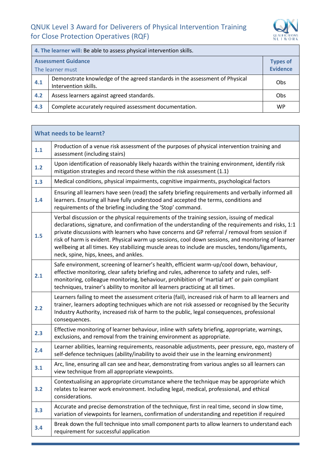$\mathcal{L}(\mathcal{A})$ 



| 4. The learner will: Be able to assess physical intervention skills. |                                                                                                            |           |  |  |
|----------------------------------------------------------------------|------------------------------------------------------------------------------------------------------------|-----------|--|--|
| <b>Assessment Guidance</b><br>The learner must                       |                                                                                                            |           |  |  |
| 4.1                                                                  | Demonstrate knowledge of the agreed standards in the assessment of Physical<br>Obs<br>Intervention skills. |           |  |  |
| 4.2                                                                  | Assess learners against agreed standards.                                                                  | Obs       |  |  |
| 4.3                                                                  | Complete accurately required assessment documentation.                                                     | <b>WP</b> |  |  |

| 1.1                    | Production of a venue risk assessment of the purposes of physical intervention training and                                                                                                                                                                                                                                                                                                                                                                                                                                                       |
|------------------------|---------------------------------------------------------------------------------------------------------------------------------------------------------------------------------------------------------------------------------------------------------------------------------------------------------------------------------------------------------------------------------------------------------------------------------------------------------------------------------------------------------------------------------------------------|
|                        | assessment (including stairs)                                                                                                                                                                                                                                                                                                                                                                                                                                                                                                                     |
| 1.2                    | Upon identification of reasonably likely hazards within the training environment, identify risk<br>mitigation strategies and record these within the risk assessment (1.1)                                                                                                                                                                                                                                                                                                                                                                        |
| 1.3                    | Medical conditions, physical impairments, cognitive impairments, psychological factors                                                                                                                                                                                                                                                                                                                                                                                                                                                            |
| 1.4                    | Ensuring all learners have seen (read) the safety briefing requirements and verbally informed all<br>learners. Ensuring all have fully understood and accepted the terms, conditions and<br>requirements of the briefing including the 'Stop' command.                                                                                                                                                                                                                                                                                            |
| 1.5                    | Verbal discussion or the physical requirements of the training session, issuing of medical<br>declarations, signature, and confirmation of the understanding of the requirements and risks, 1:1<br>private discussions with learners who have concerns and GP referral / removal from session if<br>risk of harm is evident. Physical warm up sessions, cool down sessions, and monitoring of learner<br>wellbeing at all times. Key stabilizing muscle areas to include are muscles, tendons/ligaments,<br>neck, spine, hips, knees, and ankles. |
| 2.1                    | Safe environment, screening of learner's health, efficient warm-up/cool down, behaviour,<br>effective monitoring, clear safety briefing and rules, adherence to safety and rules, self-<br>monitoring, colleague monitoring, behaviour, prohibition of 'martial art' or pain compliant<br>techniques, trainer's ability to monitor all learners practicing at all times.                                                                                                                                                                          |
| 2.2<br>consequences.   | Learners failing to meet the assessment criteria (fail), increased risk of harm to all learners and<br>trainer, learners adopting techniques which are not risk assessed or recognised by the Security<br>Industry Authority, increased risk of harm to the public, legal consequences, professional                                                                                                                                                                                                                                              |
| 2.3                    | Effective monitoring of learner behaviour, inline with safety briefing, appropriate, warnings,<br>exclusions, and removal from the training environment as appropriate.                                                                                                                                                                                                                                                                                                                                                                           |
| 2.4                    | Learner abilities, learning requirements, reasonable adjustments, peer pressure, ego, mastery of<br>self-defence techniques (ability/inability to avoid their use in the learning environment)                                                                                                                                                                                                                                                                                                                                                    |
| 3.1                    | Arc, line, ensuring all can see and hear, demonstrating from various angles so all learners can<br>view technique from all appropriate viewpoints.                                                                                                                                                                                                                                                                                                                                                                                                |
| 3.2<br>considerations. | Contextualising an appropriate circumstance where the technique may be appropriate which<br>relates to learner work environment. Including legal, medical, professional, and ethical                                                                                                                                                                                                                                                                                                                                                              |
| 3.3                    | Accurate and precise demonstration of the technique, first in real time, second in slow time,<br>variation of viewpoints for learners, confirmation of understanding and repetition if required                                                                                                                                                                                                                                                                                                                                                   |
| 3.4                    | Break down the full technique into small component parts to allow learners to understand each<br>requirement for successful application                                                                                                                                                                                                                                                                                                                                                                                                           |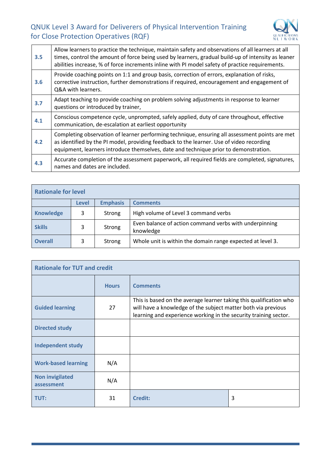

| 3.5 | Allow learners to practice the technique, maintain safety and observations of all learners at all<br>times, control the amount of force being used by learners, gradual build-up of intensity as leaner<br>abilities increase, % of force increments inline with PI model safety of practice requirements. |  |
|-----|------------------------------------------------------------------------------------------------------------------------------------------------------------------------------------------------------------------------------------------------------------------------------------------------------------|--|
| 3.6 | Provide coaching points on 1:1 and group basis, correction of errors, explanation of risks,<br>corrective instruction, further demonstrations if required, encouragement and engagement of<br>Q&A with learners.                                                                                           |  |
| 3.7 | Adapt teaching to provide coaching on problem solving adjustments in response to learner<br>questions or introduced by trainer,                                                                                                                                                                            |  |
| 4.1 | Conscious competence cycle, unprompted, safely applied, duty of care throughout, effective<br>communication, de-escalation at earliest opportunity                                                                                                                                                         |  |
| 4.2 | Completing observation of learner performing technique, ensuring all assessment points are met<br>as identified by the PI model, providing feedback to the learner. Use of video recording<br>equipment, learners introduce themselves, date and technique prior to demonstration.                         |  |
| 4.3 | Accurate completion of the assessment paperwork, all required fields are completed, signatures,<br>names and dates are included.                                                                                                                                                                           |  |

| <b>Rationale for level</b> |                          |                 |                                                            |
|----------------------------|--------------------------|-----------------|------------------------------------------------------------|
|                            | <b>Level</b>             | <b>Emphasis</b> | <b>Comments</b>                                            |
| <b>Knowledge</b>           | 3                        | Strong          | High volume of Level 3 command verbs                       |
| <b>Skills</b>              | 3<br>Strong<br>knowledge |                 | Even balance of action command verbs with underpinning     |
| <b>Overall</b>             | 3                        | Strong          | Whole unit is within the domain range expected at level 3. |

| <b>Rationale for TUT and credit</b>  |              |                                                                                                                                                                                                         |   |
|--------------------------------------|--------------|---------------------------------------------------------------------------------------------------------------------------------------------------------------------------------------------------------|---|
|                                      | <b>Hours</b> | <b>Comments</b>                                                                                                                                                                                         |   |
| <b>Guided learning</b>               | 27           | This is based on the average learner taking this qualification who<br>will have a knowledge of the subject matter both via previous<br>learning and experience working in the security training sector. |   |
| <b>Directed study</b>                |              |                                                                                                                                                                                                         |   |
| <b>Independent study</b>             |              |                                                                                                                                                                                                         |   |
| <b>Work-based learning</b>           | N/A          |                                                                                                                                                                                                         |   |
| <b>Non invigilated</b><br>assessment | N/A          |                                                                                                                                                                                                         |   |
| TUT:                                 | 31           | <b>Credit:</b>                                                                                                                                                                                          | 3 |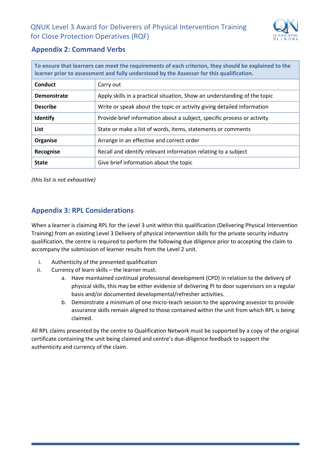

# <span id="page-21-0"></span>**Appendix 2: Command Verbs**

| To ensure that learners can meet the requirements of each criterion, they should be explained to the<br>learner prior to assessment and fully understood by the Assessor for this qualification. |                                                                           |  |
|--------------------------------------------------------------------------------------------------------------------------------------------------------------------------------------------------|---------------------------------------------------------------------------|--|
| Conduct                                                                                                                                                                                          | Carry out                                                                 |  |
| <b>Demonstrate</b>                                                                                                                                                                               | Apply skills in a practical situation, Show an understanding of the topic |  |
| <b>Describe</b>                                                                                                                                                                                  | Write or speak about the topic or activity giving detailed information    |  |
| <b>Identify</b>                                                                                                                                                                                  | Provide brief information about a subject, specific process or activity   |  |
| <b>List</b>                                                                                                                                                                                      | State or make a list of words, items, statements or comments              |  |
| Organise                                                                                                                                                                                         | Arrange in an effective and correct order                                 |  |
| Recognise                                                                                                                                                                                        | Recall and identify relevant information relating to a subject            |  |
| <b>State</b>                                                                                                                                                                                     | Give brief information about the topic                                    |  |

*(this list is not exhaustive)*

# <span id="page-21-1"></span>**Appendix 3: RPL Considerations**

When a learner is claiming RPL for the Level 3 unit within this qualification (Delivering Physical Intervention Training) from an existing Level 3 Delivery of physical intervention skills for the private security industry qualification, the centre is required to perform the following due diligence prior to accepting the claim to accompany the submission of learner results from the Level 2 unit.

- i. Authenticity of the presented qualification
- ii. Currency of learn skills the learner must:
	- a. Have maintained continual professional development (CPD) in relation to the delivery of physical skills, this may be either evidence of delivering PI to door supervisors on a regular basis and/or documented developmental/refresher activities.
	- b. Demonstrate a minimum of one micro-teach session to the approving assessor to provide assurance skills remain aligned to those contained within the unit from which RPL is being claimed.

All RPL claims presented by the centre to Qualification Network must be supported by a copy of the original certificate containing the unit being claimed and centre's due-diligence feedback to support the authenticity and currency of the claim.